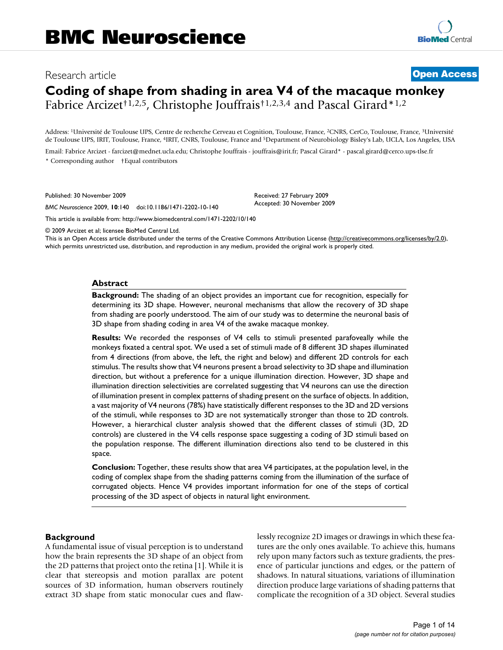# Research article **[Open Access](http://www.biomedcentral.com/info/about/charter/) Coding of shape from shading in area V4 of the macaque monkey**

Fabrice Arcizet<sup>†1,2,5</sup>, Christophe Jouffrais<sup>†1,2,3,4</sup> and Pascal Girard<sup>\*1,2</sup>

Address: 1Université de Toulouse UPS, Centre de recherche Cerveau et Cognition, Toulouse, France, 2CNRS, CerCo, Toulouse, France, 3Université de Toulouse UPS, IRIT, Toulouse, France, 4IRIT, CNRS, Toulouse, France and 5Department of Neurobiology Bisley's Lab, UCLA, Los Angeles, USA

> Received: 27 February 2009 Accepted: 30 November 2009

Email: Fabrice Arcizet - farcizet@mednet.ucla.edu; Christophe Jouffrais - jouffrais@irit.fr; Pascal Girard\* - pascal.girard@cerco.ups-tlse.fr \* Corresponding author †Equal contributors

Published: 30 November 2009

*BMC Neuroscience* 2009, **10**:140 doi:10.1186/1471-2202-10-140

[This article is available from: http://www.biomedcentral.com/1471-2202/10/140](http://www.biomedcentral.com/1471-2202/10/140)

© 2009 Arcizet et al; licensee BioMed Central Ltd.

This is an Open Access article distributed under the terms of the Creative Commons Attribution License [\(http://creativecommons.org/licenses/by/2.0\)](http://creativecommons.org/licenses/by/2.0), which permits unrestricted use, distribution, and reproduction in any medium, provided the original work is properly cited.

### **Abstract**

**Background:** The shading of an object provides an important cue for recognition, especially for determining its 3D shape. However, neuronal mechanisms that allow the recovery of 3D shape from shading are poorly understood. The aim of our study was to determine the neuronal basis of 3D shape from shading coding in area V4 of the awake macaque monkey.

**Results:** We recorded the responses of V4 cells to stimuli presented parafoveally while the monkeys fixated a central spot. We used a set of stimuli made of 8 different 3D shapes illuminated from 4 directions (from above, the left, the right and below) and different 2D controls for each stimulus. The results show that V4 neurons present a broad selectivity to 3D shape and illumination direction, but without a preference for a unique illumination direction. However, 3D shape and illumination direction selectivities are correlated suggesting that V4 neurons can use the direction of illumination present in complex patterns of shading present on the surface of objects. In addition, a vast majority of V4 neurons (78%) have statistically different responses to the 3D and 2D versions of the stimuli, while responses to 3D are not systematically stronger than those to 2D controls. However, a hierarchical cluster analysis showed that the different classes of stimuli (3D, 2D controls) are clustered in the V4 cells response space suggesting a coding of 3D stimuli based on the population response. The different illumination directions also tend to be clustered in this space.

**Conclusion:** Together, these results show that area V4 participates, at the population level, in the coding of complex shape from the shading patterns coming from the illumination of the surface of corrugated objects. Hence V4 provides important information for one of the steps of cortical processing of the 3D aspect of objects in natural light environment.

#### **Background**

A fundamental issue of visual perception is to understand how the brain represents the 3D shape of an object from the 2D patterns that project onto the retina [1]. While it is clear that stereopsis and motion parallax are potent sources of 3D information, human observers routinely extract 3D shape from static monocular cues and flawlessly recognize 2D images or drawings in which these features are the only ones available. To achieve this, humans rely upon many factors such as texture gradients, the presence of particular junctions and edges, or the pattern of shadows. In natural situations, variations of illumination direction produce large variations of shading patterns that complicate the recognition of a 3D object. Several studies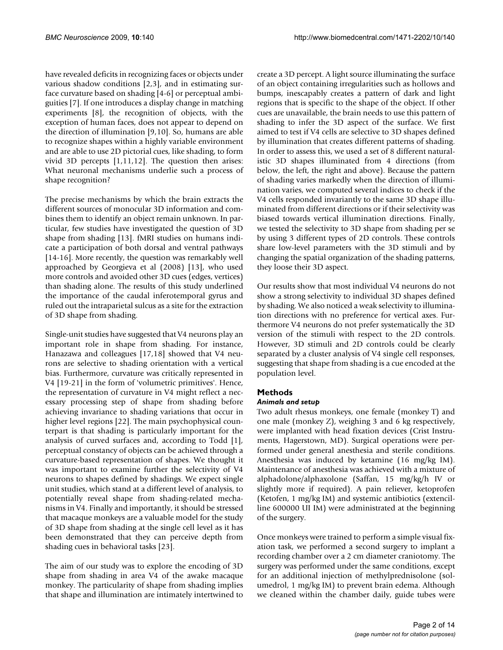have revealed deficits in recognizing faces or objects under various shadow conditions [2,3], and in estimating surface curvature based on shading [4-6] or perceptual ambiguities [7]. If one introduces a display change in matching experiments [8], the recognition of objects, with the exception of human faces, does not appear to depend on the direction of illumination [9,10]. So, humans are able to recognize shapes within a highly variable environment and are able to use 2D pictorial cues, like shading, to form vivid 3D percepts [1,11,12]. The question then arises: What neuronal mechanisms underlie such a process of shape recognition?

The precise mechanisms by which the brain extracts the different sources of monocular 3D information and combines them to identify an object remain unknown. In particular, few studies have investigated the question of 3D shape from shading [13]. fMRI studies on humans indicate a participation of both dorsal and ventral pathways [14-16]. More recently, the question was remarkably well approached by Georgieva et al (2008) [13], who used more controls and avoided other 3D cues (edges, vertices) than shading alone. The results of this study underlined the importance of the caudal inferotemporal gyrus and ruled out the intraparietal sulcus as a site for the extraction of 3D shape from shading.

Single-unit studies have suggested that V4 neurons play an important role in shape from shading. For instance, Hanazawa and colleagues [17,18] showed that V4 neurons are selective to shading orientation with a vertical bias. Furthermore, curvature was critically represented in V4 [19-21] in the form of 'volumetric primitives'. Hence, the representation of curvature in V4 might reflect a necessary processing step of shape from shading before achieving invariance to shading variations that occur in higher level regions [22]. The main psychophysical counterpart is that shading is particularly important for the analysis of curved surfaces and, according to Todd [1], perceptual constancy of objects can be achieved through a curvature-based representation of shapes. We thought it was important to examine further the selectivity of V4 neurons to shapes defined by shadings. We expect single unit studies, which stand at a different level of analysis, to potentially reveal shape from shading-related mechanisms in V4. Finally and importantly, it should be stressed that macaque monkeys are a valuable model for the study of 3D shape from shading at the single cell level as it has been demonstrated that they can perceive depth from shading cues in behavioral tasks [23].

The aim of our study was to explore the encoding of 3D shape from shading in area V4 of the awake macaque monkey. The particularity of shape from shading implies that shape and illumination are intimately intertwined to

create a 3D percept. A light source illuminating the surface of an object containing irregularities such as hollows and bumps, inescapably creates a pattern of dark and light regions that is specific to the shape of the object. If other cues are unavailable, the brain needs to use this pattern of shading to infer the 3D aspect of the surface. We first aimed to test if V4 cells are selective to 3D shapes defined by illumination that creates different patterns of shading. In order to assess this, we used a set of 8 different naturalistic 3D shapes illuminated from 4 directions (from below, the left, the right and above). Because the pattern of shading varies markedly when the direction of illumination varies, we computed several indices to check if the V4 cells responded invariantly to the same 3D shape illuminated from different directions or if their selectivity was biased towards vertical illumination directions. Finally, we tested the selectivity to 3D shape from shading per se by using 3 different types of 2D controls. These controls share low-level parameters with the 3D stimuli and by changing the spatial organization of the shading patterns, they loose their 3D aspect.

Our results show that most individual V4 neurons do not show a strong selectivity to individual 3D shapes defined by shading. We also noticed a weak selectivity to illumination directions with no preference for vertical axes. Furthermore V4 neurons do not prefer systematically the 3D version of the stimuli with respect to the 2D controls. However, 3D stimuli and 2D controls could be clearly separated by a cluster analysis of V4 single cell responses, suggesting that shape from shading is a cue encoded at the population level.

# **Methods**

# *Animals and setup*

Two adult rhesus monkeys, one female (monkey T) and one male (monkey Z), weighing 3 and 6 kg respectively, were implanted with head fixation devices (Crist Instruments, Hagerstown, MD). Surgical operations were performed under general anesthesia and sterile conditions. Anesthesia was induced by ketamine (16 mg/kg IM). Maintenance of anesthesia was achieved with a mixture of alphadolone/alphaxolone (Saffan, 15 mg/kg/h IV or slightly more if required). A pain reliever, ketoprofen (Ketofen, 1 mg/kg IM) and systemic antibiotics (extencilline 600000 UI IM) were administrated at the beginning of the surgery.

Once monkeys were trained to perform a simple visual fixation task, we performed a second surgery to implant a recording chamber over a 2 cm diameter craniotomy. The surgery was performed under the same conditions, except for an additional injection of methylprednisolone (solumedrol, 1 mg/kg IM) to prevent brain edema. Although we cleaned within the chamber daily, guide tubes were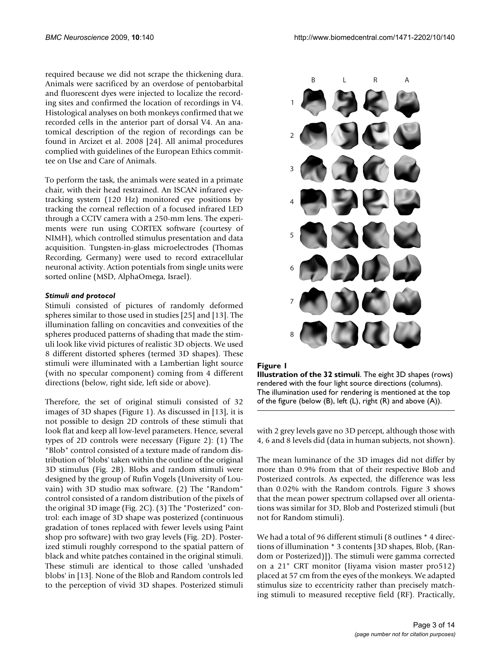required because we did not scrape the thickening dura. Animals were sacrificed by an overdose of pentobarbital and fluorescent dyes were injected to localize the recording sites and confirmed the location of recordings in V4. Histological analyses on both monkeys confirmed that we recorded cells in the anterior part of dorsal V4. An anatomical description of the region of recordings can be found in Arcizet et al. 2008 [24]. All animal procedures complied with guidelines of the European Ethics committee on Use and Care of Animals.

To perform the task, the animals were seated in a primate chair, with their head restrained. An ISCAN infrared eyetracking system (120 Hz) monitored eye positions by tracking the corneal reflection of a focused infrared LED through a CCTV camera with a 250-mm lens. The experiments were run using CORTEX software (courtesy of NIMH), which controlled stimulus presentation and data acquisition. Tungsten-in-glass microelectrodes (Thomas Recording, Germany) were used to record extracellular neuronal activity. Action potentials from single units were sorted online (MSD, AlphaOmega, Israel).

# *Stimuli and protocol*

Stimuli consisted of pictures of randomly deformed spheres similar to those used in studies [25] and [13]. The illumination falling on concavities and convexities of the spheres produced patterns of shading that made the stimuli look like vivid pictures of realistic 3D objects. We used 8 different distorted spheres (termed 3D shapes). These stimuli were illuminated with a Lambertian light source (with no specular component) coming from 4 different directions (below, right side, left side or above).

Therefore, the set of original stimuli consisted of 32 images of 3D shapes (Figure 1). As discussed in [13], it is not possible to design 2D controls of these stimuli that look flat and keep all low-level parameters. Hence, several types of 2D controls were necessary (Figure 2): (1) The "Blob" control consisted of a texture made of random distribution of 'blobs' taken within the outline of the original 3D stimulus (Fig. 2B). Blobs and random stimuli were designed by the group of Rufin Vogels (University of Louvain) with 3D studio max software. (2) The "Random" control consisted of a random distribution of the pixels of the original 3D image (Fig. 2C). (3) The "Posterized" control: each image of 3D shape was posterized (continuous gradation of tones replaced with fewer levels using Paint shop pro software) with two gray levels (Fig. 2D). Posterized stimuli roughly correspond to the spatial pattern of black and white patches contained in the original stimuli. These stimuli are identical to those called 'unshaded blobs' in [13]. None of the Blob and Random controls led to the perception of vivid 3D shapes. Posterized stimuli



#### **Figure 1**

**Illustration of the 32 stimuli**. The eight 3D shapes (rows) rendered with the four light source directions (columns). The illumination used for rendering is mentioned at the top of the figure (below (B), left (L), right (R) and above (A)).

with 2 grey levels gave no 3D percept, although those with 4, 6 and 8 levels did (data in human subjects, not shown).

The mean luminance of the 3D images did not differ by more than 0.9% from that of their respective Blob and Posterized controls. As expected, the difference was less than 0.02% with the Random controls. Figure 3 shows that the mean power spectrum collapsed over all orientations was similar for 3D, Blob and Posterized stimuli (but not for Random stimuli).

We had a total of 96 different stimuli (8 outlines \* 4 directions of illumination \* 3 contents [3D shapes, Blob, (Random or Posterized)]). The stimuli were gamma corrected on a 21" CRT monitor (Iiyama vision master pro512) placed at 57 cm from the eyes of the monkeys. We adapted stimulus size to eccentricity rather than precisely matching stimuli to measured receptive field (RF). Practically,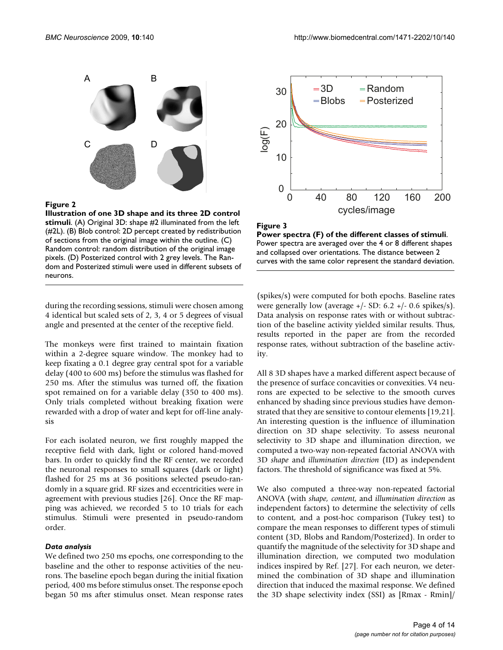

**Illustration of one 3D shape and its three 2D control stimuli**. (A) Original 3D: shape #2 illuminated from the left (#2L). (B) Blob control: 2D percept created by redistribution of sections from the original image within the outline. (C) Random control: random distribution of the original image pixels. (D) Posterized control with 2 grey levels. The Random and Posterized stimuli were used in different subsets of neurons.

during the recording sessions, stimuli were chosen among 4 identical but scaled sets of 2, 3, 4 or 5 degrees of visual angle and presented at the center of the receptive field.

The monkeys were first trained to maintain fixation within a 2-degree square window. The monkey had to keep fixating a 0.1 degree gray central spot for a variable delay (400 to 600 ms) before the stimulus was flashed for 250 ms. After the stimulus was turned off, the fixation spot remained on for a variable delay (350 to 400 ms). Only trials completed without breaking fixation were rewarded with a drop of water and kept for off-line analysis

For each isolated neuron, we first roughly mapped the receptive field with dark, light or colored hand-moved bars. In order to quickly find the RF center, we recorded the neuronal responses to small squares (dark or light) flashed for 25 ms at 36 positions selected pseudo-randomly in a square grid. RF sizes and eccentricities were in agreement with previous studies [26]. Once the RF mapping was achieved, we recorded 5 to 10 trials for each stimulus. Stimuli were presented in pseudo-random order.

#### *Data analysis*

We defined two 250 ms epochs, one corresponding to the baseline and the other to response activities of the neurons. The baseline epoch began during the initial fixation period, 400 ms before stimulus onset. The response epoch began 50 ms after stimulus onset. Mean response rates



**Figure 3 Power spectra (F) of the different classes of stimuli**. Power spectra are averaged over the 4 or 8 different shapes and collapsed over orientations. The distance between 2 curves with the same color represent the standard deviation.

(spikes/s) were computed for both epochs. Baseline rates were generally low (average  $+/-$  SD: 6.2  $+/-$  0.6 spikes/s). Data analysis on response rates with or without subtraction of the baseline activity yielded similar results. Thus, results reported in the paper are from the recorded response rates, without subtraction of the baseline activity.

All 8 3D shapes have a marked different aspect because of the presence of surface concavities or convexities. V4 neurons are expected to be selective to the smooth curves enhanced by shading since previous studies have demonstrated that they are sensitive to contour elements [19,21]. An interesting question is the influence of illumination direction on 3D shape selectivity. To assess neuronal selectivity to 3D shape and illumination direction, we computed a two-way non-repeated factorial ANOVA with 3D *shape* and *illumination direction* (ID) as independent factors. The threshold of significance was fixed at 5%.

We also computed a three-way non-repeated factorial ANOVA (with *shape, content*, and *illumination direction* as independent factors) to determine the selectivity of cells to content, and a post-hoc comparison (Tukey test) to compare the mean responses to different types of stimuli content (3D, Blobs and Random/Posterized). In order to quantify the magnitude of the selectivity for 3D shape and illumination direction, we computed two modulation indices inspired by Ref. [27]. For each neuron, we determined the combination of 3D shape and illumination direction that induced the maximal response. We defined the 3D shape selectivity index (SSI) as [Rmax - Rmin]/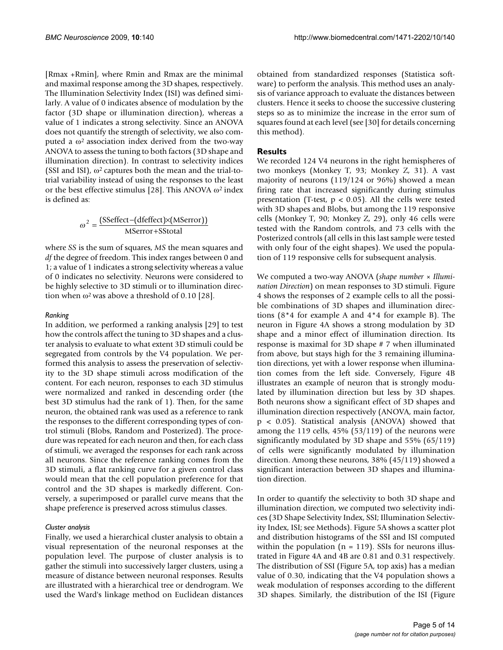[Rmax +Rmin], where Rmin and Rmax are the minimal and maximal response among the 3D shapes, respectively. The Illumination Selectivity Index (ISI) was defined similarly. A value of 0 indicates absence of modulation by the factor (3D shape or illumination direction), whereas a value of 1 indicates a strong selectivity. Since an ANOVA does not quantify the strength of selectivity, we also computed a  $\omega^2$  association index derived from the two-way ANOVA to assess the tuning to both factors (3D shape and illumination direction). In contrast to selectivity indices (SSI and ISI),  $\omega^2$  captures both the mean and the trial-totrial variability instead of using the responses to the least or the best effective stimulus [28]. This ANOVA  $\omega^2$  index is defined as:

$$
\omega^2 = \frac{\text{(Sseffect} - (\text{deffect}) \times (\text{MSerror}))}{\text{MSerror} + \text{SStotal}}
$$

where *SS* is the sum of squares, *MS* the mean squares and *df* the degree of freedom. This index ranges between 0 and 1; a value of 1 indicates a strong selectivity whereas a value of 0 indicates no selectivity. Neurons were considered to be highly selective to 3D stimuli or to illumination direction when  $\omega^2$  was above a threshold of 0.10 [28].

#### *Ranking*

In addition, we performed a ranking analysis [29] to test how the controls affect the tuning to 3D shapes and a cluster analysis to evaluate to what extent 3D stimuli could be segregated from controls by the V4 population. We performed this analysis to assess the preservation of selectivity to the 3D shape stimuli across modification of the content. For each neuron, responses to each 3D stimulus were normalized and ranked in descending order (the best 3D stimulus had the rank of 1). Then, for the same neuron, the obtained rank was used as a reference to rank the responses to the different corresponding types of control stimuli (Blobs, Random and Posterized). The procedure was repeated for each neuron and then, for each class of stimuli, we averaged the responses for each rank across all neurons. Since the reference ranking comes from the 3D stimuli, a flat ranking curve for a given control class would mean that the cell population preference for that control and the 3D shapes is markedly different. Conversely, a superimposed or parallel curve means that the shape preference is preserved across stimulus classes.

#### *Cluster analysis*

Finally, we used a hierarchical cluster analysis to obtain a visual representation of the neuronal responses at the population level. The purpose of cluster analysis is to gather the stimuli into successively larger clusters, using a measure of distance between neuronal responses. Results are illustrated with a hierarchical tree or dendrogram. We used the Ward's linkage method on Euclidean distances

obtained from standardized responses (Statistica software) to perform the analysis. This method uses an analysis of variance approach to evaluate the distances between clusters. Hence it seeks to choose the successive clustering steps so as to minimize the increase in the error sum of squares found at each level (see [30] for details concerning this method).

#### **Results**

We recorded 124 V4 neurons in the right hemispheres of two monkeys (Monkey T, 93; Monkey Z, 31). A vast majority of neurons (119/124 or 96%) showed a mean firing rate that increased significantly during stimulus presentation (T-test,  $p < 0.05$ ). All the cells were tested with 3D shapes and Blobs, but among the 119 responsive cells (Monkey T, 90; Monkey Z, 29), only 46 cells were tested with the Random controls, and 73 cells with the Posterized controls (all cells in this last sample were tested with only four of the eight shapes). We used the population of 119 responsive cells for subsequent analysis.

We computed a two-way ANOVA (*shape number* × *Illumination Direction*) on mean responses to 3D stimuli. Figure 4 shows the responses of 2 example cells to all the possible combinations of 3D shapes and illumination directions (8\*4 for example A and 4\*4 for example B). The neuron in Figure 4A shows a strong modulation by 3D shape and a minor effect of illumination direction. Its response is maximal for 3D shape # 7 when illuminated from above, but stays high for the 3 remaining illumination directions, yet with a lower response when illumination comes from the left side. Conversely, Figure 4B illustrates an example of neuron that is strongly modulated by illumination direction but less by 3D shapes. Both neurons show a significant effect of 3D shapes and illumination direction respectively (ANOVA, main factor, p < 0.05). Statistical analysis (ANOVA) showed that among the 119 cells, 45% (53/119) of the neurons were significantly modulated by 3D shape and 55% (65/119) of cells were significantly modulated by illumination direction. Among these neurons, 38% (45/119) showed a significant interaction between 3D shapes and illumination direction.

In order to quantify the selectivity to both 3D shape and illumination direction, we computed two selectivity indices (3D Shape Selectivity Index, SSI; Illumination Selectivity Index, ISI; see Methods). Figure 5A shows a scatter plot and distribution histograms of the SSI and ISI computed within the population  $(n = 119)$ . SSIs for neurons illustrated in Figure 4A and 4B are 0.81 and 0.31 respectively. The distribution of SSI (Figure 5A, top axis) has a median value of 0.30, indicating that the V4 population shows a weak modulation of responses according to the different 3D shapes. Similarly, the distribution of the ISI (Figure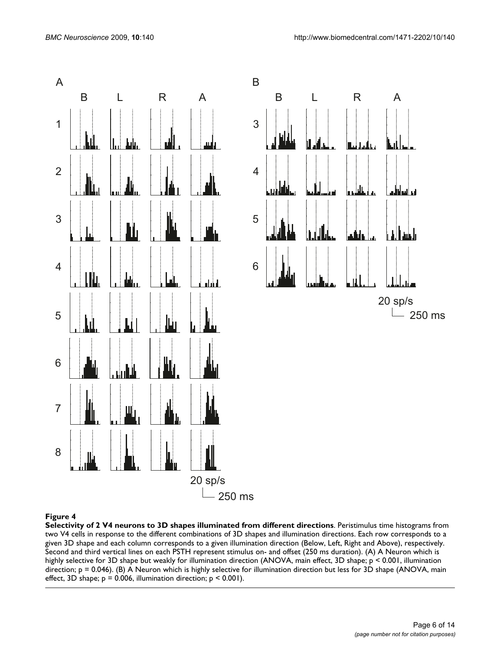

**Selectivity of 2 V4 neurons to 3D shapes illuminated from different directions**. Peristimulus time histograms from two V4 cells in response to the different combinations of 3D shapes and illumination directions. Each row corresponds to a given 3D shape and each column corresponds to a given illumination direction (Below, Left, Right and Above), respectively. Second and third vertical lines on each PSTH represent stimulus on- and offset (250 ms duration). (A) A Neuron which is highly selective for 3D shape but weakly for illumination direction (ANOVA, main effect, 3D shape; p < 0.001, illumination direction; p = 0.046). (B) A Neuron which is highly selective for illumination direction but less for 3D shape (ANOVA, main effect, 3D shape;  $p = 0.006$ , illumination direction;  $p \le 0.001$ ).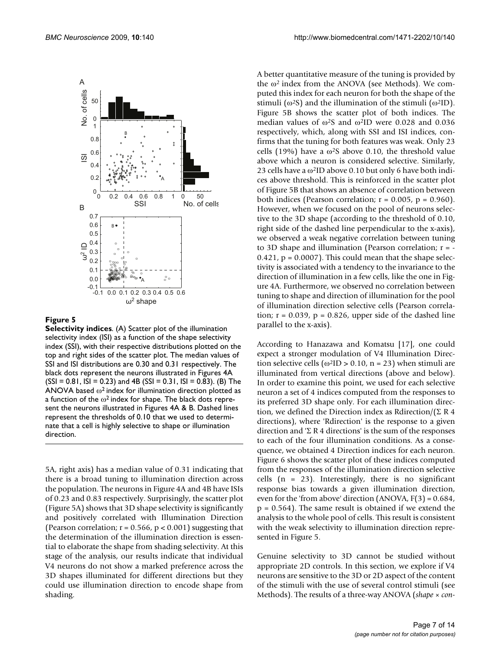

**Selectivity indices**. (A) Scatter plot of the illumination selectivity index (ISI) as a function of the shape selectivity index (SSI), with their respective distributions plotted on the top and right sides of the scatter plot. The median values of SSI and ISI distributions are 0.30 and 0.31 respectively. The black dots represent the neurons illustrated in Figures 4A  $(SSI = 0.81, ISI = 0.23)$  and 4B  $(SSI = 0.31, ISI = 0.83)$ . (B) The ANOVA based  $\omega^2$  index for illumination direction plotted as a function of the  $\omega^2$  index for shape. The black dots represent the neurons illustrated in Figures 4A & B. Dashed lines represent the thresholds of 0.10 that we used to determinate that a cell is highly selective to shape or illumination direction.

5A, right axis) has a median value of 0.31 indicating that there is a broad tuning to illumination direction across the population. The neurons in Figure 4A and 4B have ISIs of 0.23 and 0.83 respectively. Surprisingly, the scatter plot (Figure 5A) shows that 3D shape selectivity is significantly and positively correlated with Illumination Direction (Pearson correlation;  $r = 0.566$ ,  $p < 0.001$ ) suggesting that the determination of the illumination direction is essential to elaborate the shape from shading selectivity. At this stage of the analysis, our results indicate that individual V4 neurons do not show a marked preference across the 3D shapes illuminated for different directions but they could use illumination direction to encode shape from shading.

A better quantitative measure of the tuning is provided by the  $\omega^2$  index from the ANOVA (see Methods). We computed this index for each neuron for both the shape of the stimuli ( $\omega$ <sup>2</sup>S) and the illumination of the stimuli ( $\omega$ <sup>2</sup>ID). Figure 5B shows the scatter plot of both indices. The median values of  $\omega$ <sup>2</sup>S and  $\omega$ <sup>2</sup>ID were 0.028 and 0.036 respectively, which, along with SSI and ISI indices, confirms that the tuning for both features was weak. Only 23 cells (19%) have a  $\omega$ <sup>2</sup>S above 0.10, the threshold value above which a neuron is considered selective. Similarly, 23 cells have a  $\omega^2$ ID above 0.10 but only 6 have both indices above threshold. This is reinforced in the scatter plot of Figure 5B that shows an absence of correlation between both indices (Pearson correlation;  $r = 0.005$ ,  $p = 0.960$ ). However, when we focused on the pool of neurons selective to the 3D shape (according to the threshold of 0.10, right side of the dashed line perpendicular to the x-axis), we observed a weak negative correlation between tuning to 3D shape and illumination (Pearson correlation;  $r = 0.421$ ,  $p = 0.0007$ . This could mean that the shape selectivity is associated with a tendency to the invariance to the direction of illumination in a few cells, like the one in Figure 4A. Furthermore, we observed no correlation between tuning to shape and direction of illumination for the pool of illumination direction selective cells (Pearson correlation;  $r = 0.039$ ,  $p = 0.826$ , upper side of the dashed line parallel to the x-axis).

According to Hanazawa and Komatsu [17], one could expect a stronger modulation of V4 Illumination Direction selective cells ( $\omega^2$ ID > 0.10, n = 23) when stimuli are illuminated from vertical directions (above and below). In order to examine this point, we used for each selective neuron a set of 4 indices computed from the responses to its preferred 3D shape only. For each illumination direction, we defined the Direction index as Rdirection/( $\Sigma$  R 4 directions), where 'Rdirection' is the response to a given direction and 'Σ R 4 directions' is the sum of the responses to each of the four illumination conditions. As a consequence, we obtained 4 Direction indices for each neuron. Figure 6 shows the scatter plot of these indices computed from the responses of the illumination direction selective cells  $(n = 23)$ . Interestingly, there is no significant response bias towards a given illumination direction, even for the 'from above' direction (ANOVA, F(3) = 0.684,  $p = 0.564$ ). The same result is obtained if we extend the analysis to the whole pool of cells. This result is consistent with the weak selectivity to illumination direction represented in Figure 5.

Genuine selectivity to 3D cannot be studied without appropriate 2D controls. In this section, we explore if V4 neurons are sensitive to the 3D or 2D aspect of the content of the stimuli with the use of several control stimuli (see Methods). The results of a three-way ANOVA (*shape × con-*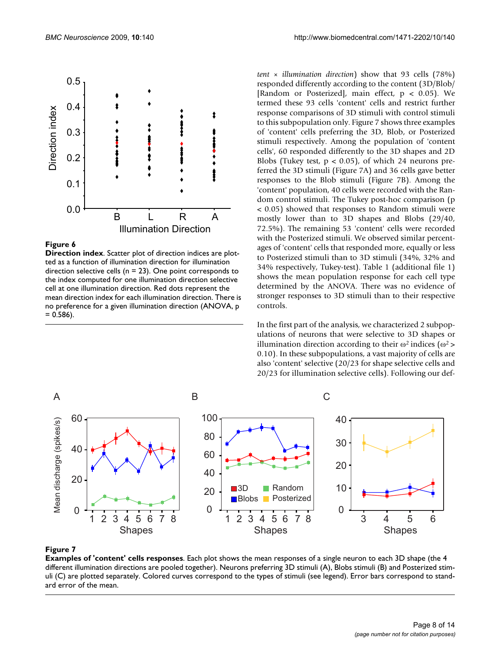

**Direction index**. Scatter plot of direction indices are plotted as a function of illumination direction for illumination direction selective cells ( $n = 23$ ). One point corresponds to the index computed for one illumination direction selective cell at one illumination direction. Red dots represent the mean direction index for each illumination direction. There is no preference for a given illumination direction (ANOVA, p  $= 0.586$ ).

*tent × illumination direction*) show that 93 cells (78%) responded differently according to the content (3D/Blob/ [Random or Posterized], main effect, p < 0.05). We termed these 93 cells 'content' cells and restrict further response comparisons of 3D stimuli with control stimuli to this subpopulation only. Figure 7 shows three examples of 'content' cells preferring the 3D, Blob, or Posterized stimuli respectively. Among the population of 'content cells', 60 responded differently to the 3D shapes and 2D Blobs (Tukey test,  $p < 0.05$ ), of which 24 neurons preferred the 3D stimuli (Figure 7A) and 36 cells gave better responses to the Blob stimuli (Figure 7B). Among the 'content' population, 40 cells were recorded with the Random control stimuli. The Tukey post-hoc comparison (p < 0.05) showed that responses to Random stimuli were mostly lower than to 3D shapes and Blobs (29/40, 72.5%). The remaining 53 'content' cells were recorded with the Posterized stimuli. We observed similar percentages of 'content' cells that responded more, equally or less to Posterized stimuli than to 3D stimuli (34%, 32% and 34% respectively, Tukey-test). Table 1 (additional file 1) shows the mean population response for each cell type determined by the ANOVA. There was no evidence of stronger responses to 3D stimuli than to their respective controls.

In the first part of the analysis, we characterized 2 subpopulations of neurons that were selective to 3D shapes or illumination direction according to their  $\omega^2$  indices ( $\omega^2$  > 0.10). In these subpopulations, a vast majority of cells are also 'content' selective (20/23 for shape selective cells and 20/23 for illumination selective cells). Following our def-



#### **Figure 7**

**Examples of 'content' cells responses**. Each plot shows the mean responses of a single neuron to each 3D shape (the 4 different illumination directions are pooled together). Neurons preferring 3D stimuli (A), Blobs stimuli (B) and Posterized stimuli (C) are plotted separately. Colored curves correspond to the types of stimuli (see legend). Error bars correspond to standard error of the mean.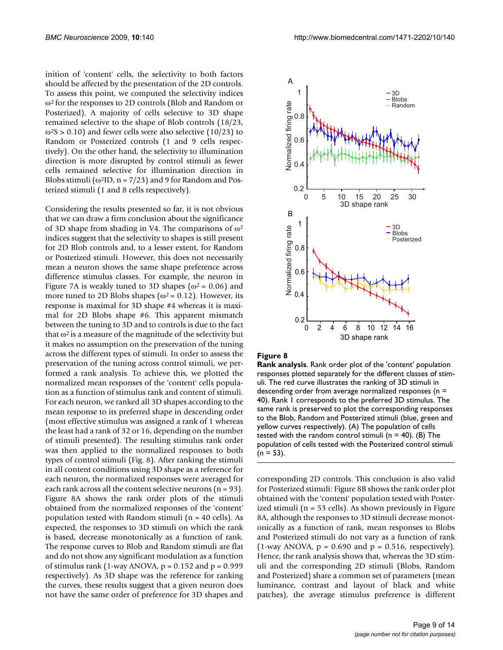inition of 'content' cells, the selectivity to both factors should be affected by the presentation of the 2D controls. To assess this point, we computed the selectivity indices ω2 for the responses to 2D controls (Blob and Random or Posterized). A majority of cells selective to 3D shape remained selective to the shape of Blob controls (18/23,  $\omega$ <sup>2</sup>S > 0.10) and fewer cells were also selective (10/23) to Random or Posterized controls (1 and 9 cells respectively). On the other hand, the selectivity to illumination direction is more disrupted by control stimuli as fewer cells remained selective for illumination direction in Blobs stimuli ( $\omega^2$ ID, n = 7/23) and 9 for Random and Posterized stimuli (1 and 8 cells respectively).

Considering the results presented so far, it is not obvious that we can draw a firm conclusion about the significance of 3D shape from shading in V4. The comparisons of  $\omega^2$ indices suggest that the selectivity to shapes is still present for 2D Blob controls and, to a lesser extent, for Random or Posterized stimuli. However, this does not necessarily mean a neuron shows the same shape preference across difference stimulus classes. For example, the neuron in Figure 7A is weakly tuned to 3D shapes ( $\omega^2$  = 0.06) and more tuned to 2D Blobs shapes ( $\omega^2$  = 0.12). However, its response is maximal for 3D shape #4 whereas it is maximal for 2D Blobs shape #6. This apparent mismatch between the tuning to 3D and to controls is due to the fact that  $\omega^2$  is a measure of the magnitude of the selectivity but it makes no assumption on the preservation of the tuning across the different types of stimuli. In order to assess the preservation of the tuning across control stimuli, we performed a rank analysis. To achieve this, we plotted the normalized mean responses of the 'content' cells population as a function of stimulus rank and content of stimuli. For each neuron, we ranked all 3D shapes according to the mean response to its preferred shape in descending order (most effective stimulus was assigned a rank of 1 whereas the least had a rank of 32 or 16, depending on the number of stimuli presented). The resulting stimulus rank order was then applied to the normalized responses to both types of control stimuli (Fig. 8). After ranking the stimuli in all content conditions using 3D shape as a reference for each neuron, the normalized responses were averaged for each rank across all the content selective neurons  $(n = 93)$ . Figure 8A shows the rank order plots of the stimuli obtained from the normalized responses of the 'content' population tested with Random stimuli (n = 40 cells). As expected, the responses to 3D stimuli on which the rank is based, decrease monotonically as a function of rank. The response curves to Blob and Random stimuli are flat and do not show any significant modulation as a function of stimulus rank (1-way ANOVA,  $p = 0.152$  and  $p = 0.999$ respectively). As 3D shape was the reference for ranking the curves, these results suggest that a given neuron does not have the same order of preference for 3D shapes and



#### **Figure 8**

**Rank analysis**. Rank order plot of the 'content' population responses plotted separately for the different classes of stimuli. The red curve illustrates the ranking of 3D stimuli in descending order from average normalized responses ( $n =$ 40). Rank 1 corresponds to the preferred 3D stimulus. The same rank is preserved to plot the corresponding responses to the Blob, Random and Posterized stimuli (blue, green and yellow curves respectively). (A) The population of cells tested with the random control stimuli ( $n = 40$ ). (B) The population of cells tested with the Posterized control stimuli  $(n = 53)$ .

corresponding 2D controls. This conclusion is also valid for Posterized stimuli: Figure 8B shows the rank order plot obtained with the 'content' population tested with Posterized stimuli (n = 53 cells). As shown previously in Figure 8A, although the responses to 3D stimuli decrease monotonically as a function of rank, mean responses to Blobs and Posterized stimuli do not vary as a function of rank  $(1$ -way ANOVA,  $p = 0.690$  and  $p = 0.516$ , respectively). Hence, the rank analysis shows that, whereas the 3D stimuli and the corresponding 2D stimuli (Blobs, Random and Posterized) share a common set of parameters (mean luminance, contrast and layout of black and white patches), the average stimulus preference is different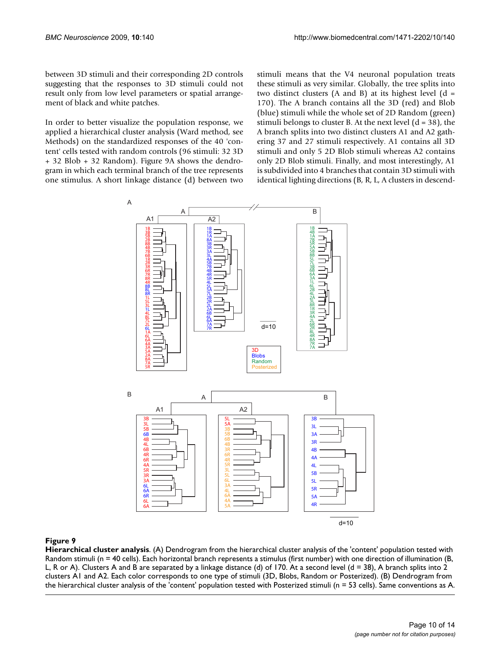between 3D stimuli and their corresponding 2D controls suggesting that the responses to 3D stimuli could not result only from low level parameters or spatial arrangement of black and white patches.

In order to better visualize the population response, we applied a hierarchical cluster analysis (Ward method, see Methods) on the standardized responses of the 40 'content' cells tested with random controls (96 stimuli: 32 3D + 32 Blob + 32 Random). Figure 9A shows the dendrogram in which each terminal branch of the tree represents one stimulus. A short linkage distance (d) between two

stimuli means that the V4 neuronal population treats these stimuli as very similar. Globally, the tree splits into two distinct clusters  $(A \text{ and } B)$  at its highest level  $(d =$ 170). The A branch contains all the 3D (red) and Blob (blue) stimuli while the whole set of 2D Random (green) stimuli belongs to cluster B. At the next level  $(d = 38)$ , the A branch splits into two distinct clusters A1 and A2 gathering 37 and 27 stimuli respectively. A1 contains all 3D stimuli and only 5 2D Blob stimuli whereas A2 contains only 2D Blob stimuli. Finally, and most interestingly, A1 is subdivided into 4 branches that contain 3D stimuli with identical lighting directions (B, R, L, A clusters in descend-



# **Figure 9**

**Hierarchical cluster analysis**. (A) Dendrogram from the hierarchical cluster analysis of the 'content' population tested with Random stimuli (n = 40 cells). Each horizontal branch represents a stimulus (first number) with one direction of illumination (B, L, R or A). Clusters A and B are separated by a linkage distance (d) of 170. At a second level ( $d = 38$ ), A branch splits into 2 clusters A1 and A2. Each color corresponds to one type of stimuli (3D, Blobs, Random or Posterized). (B) Dendrogram from the hierarchical cluster analysis of the 'content' population tested with Posterized stimuli (n = 53 cells). Same conventions as A.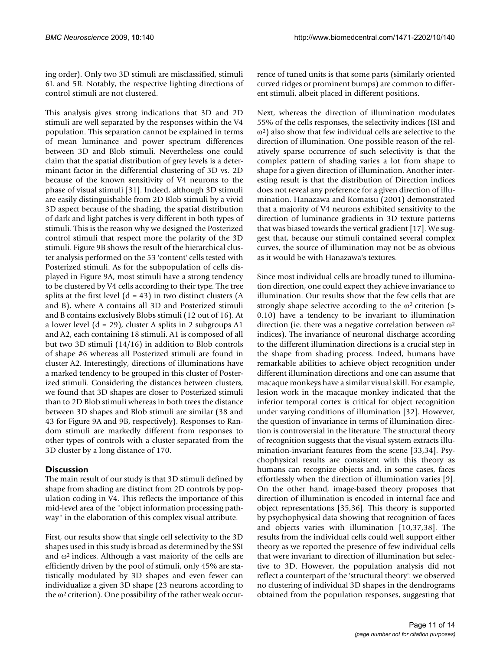ing order). Only two 3D stimuli are misclassified, stimuli 6L and 5R. Notably, the respective lighting directions of control stimuli are not clustered.

This analysis gives strong indications that 3D and 2D stimuli are well separated by the responses within the V4 population. This separation cannot be explained in terms of mean luminance and power spectrum differences between 3D and Blob stimuli. Nevertheless one could claim that the spatial distribution of grey levels is a determinant factor in the differential clustering of 3D vs. 2D because of the known sensitivity of V4 neurons to the phase of visual stimuli [31]. Indeed, although 3D stimuli are easily distinguishable from 2D Blob stimuli by a vivid 3D aspect because of the shading, the spatial distribution of dark and light patches is very different in both types of stimuli. This is the reason why we designed the Posterized control stimuli that respect more the polarity of the 3D stimuli. Figure 9B shows the result of the hierarchical cluster analysis performed on the 53 'content' cells tested with Posterized stimuli. As for the subpopulation of cells displayed in Figure 9A, most stimuli have a strong tendency to be clustered by V4 cells according to their type. The tree splits at the first level  $(d = 43)$  in two distinct clusters  $(A)$ and B), where A contains all 3D and Posterized stimuli and B contains exclusively Blobs stimuli (12 out of 16). At a lower level  $(d = 29)$ , cluster A splits in 2 subgroups A1 and A2, each containing 18 stimuli. A1 is composed of all but two 3D stimuli (14/16) in addition to Blob controls of shape #6 whereas all Posterized stimuli are found in cluster A2. Interestingly, directions of illuminations have a marked tendency to be grouped in this cluster of Posterized stimuli. Considering the distances between clusters, we found that 3D shapes are closer to Posterized stimuli than to 2D Blob stimuli whereas in both trees the distance between 3D shapes and Blob stimuli are similar (38 and 43 for Figure 9A and 9B, respectively). Responses to Random stimuli are markedly different from responses to other types of controls with a cluster separated from the 3D cluster by a long distance of 170.

# **Discussion**

The main result of our study is that 3D stimuli defined by shape from shading are distinct from 2D controls by population coding in V4. This reflects the importance of this mid-level area of the "object information processing pathway" in the elaboration of this complex visual attribute.

First, our results show that single cell selectivity to the 3D shapes used in this study is broad as determined by the SSI and  $\omega^2$  indices. Although a vast majority of the cells are efficiently driven by the pool of stimuli, only 45% are statistically modulated by 3D shapes and even fewer can individualize a given 3D shape (23 neurons according to the  $\omega^2$  criterion). One possibility of the rather weak occurrence of tuned units is that some parts (similarly oriented curved ridges or prominent bumps) are common to different stimuli, albeit placed in different positions.

Next, whereas the direction of illumination modulates 55% of the cells responses, the selectivity indices (ISI and ω2) also show that few individual cells are selective to the direction of illumination. One possible reason of the relatively sparse occurrence of such selectivity is that the complex pattern of shading varies a lot from shape to shape for a given direction of illumination. Another interesting result is that the distribution of Direction indices does not reveal any preference for a given direction of illumination. Hanazawa and Komatsu (2001) demonstrated that a majority of V4 neurons exhibited sensitivity to the direction of luminance gradients in 3D texture patterns that was biased towards the vertical gradient [17]. We suggest that, because our stimuli contained several complex curves, the source of illumination may not be as obvious as it would be with Hanazawa's textures.

Since most individual cells are broadly tuned to illumination direction, one could expect they achieve invariance to illumination. Our results show that the few cells that are strongly shape selective according to the  $\omega^2$  criterion (> 0.10) have a tendency to be invariant to illumination direction (ie. there was a negative correlation between  $\omega^2$ indices). The invariance of neuronal discharge according to the different illumination directions is a crucial step in the shape from shading process. Indeed, humans have remarkable abilities to achieve object recognition under different illumination directions and one can assume that macaque monkeys have a similar visual skill. For example, lesion work in the macaque monkey indicated that the inferior temporal cortex is critical for object recognition under varying conditions of illumination [32]. However, the question of invariance in terms of illumination direction is controversial in the literature. The structural theory of recognition suggests that the visual system extracts illumination-invariant features from the scene [33,34]. Psychophysical results are consistent with this theory as humans can recognize objects and, in some cases, faces effortlessly when the direction of illumination varies [9]. On the other hand, image-based theory proposes that direction of illumination is encoded in internal face and object representations [35,36]. This theory is supported by psychophysical data showing that recognition of faces and objects varies with illumination [10,37,38]. The results from the individual cells could well support either theory as we reported the presence of few individual cells that were invariant to direction of illumination but selective to 3D. However, the population analysis did not reflect a counterpart of the 'structural theory': we observed no clustering of individual 3D shapes in the dendrograms obtained from the population responses, suggesting that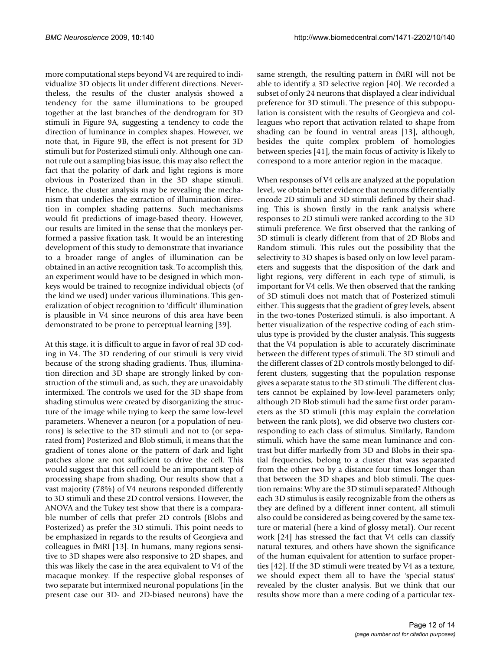more computational steps beyond V4 are required to individualize 3D objects lit under different directions. Nevertheless, the results of the cluster analysis showed a tendency for the same illuminations to be grouped together at the last branches of the dendrogram for 3D stimuli in Figure 9A, suggesting a tendency to code the direction of luminance in complex shapes. However, we note that, in Figure 9B, the effect is not present for 3D stimuli but for Posterized stimuli only. Although one cannot rule out a sampling bias issue, this may also reflect the fact that the polarity of dark and light regions is more obvious in Posterized than in the 3D shape stimuli. Hence, the cluster analysis may be revealing the mechanism that underlies the extraction of illumination direction in complex shading patterns. Such mechanisms would fit predictions of image-based theory. However, our results are limited in the sense that the monkeys performed a passive fixation task. It would be an interesting development of this study to demonstrate that invariance to a broader range of angles of illumination can be obtained in an active recognition task. To accomplish this, an experiment would have to be designed in which monkeys would be trained to recognize individual objects (of the kind we used) under various illuminations. This generalization of object recognition to 'difficult' illumination is plausible in V4 since neurons of this area have been demonstrated to be prone to perceptual learning [39].

At this stage, it is difficult to argue in favor of real 3D coding in V4. The 3D rendering of our stimuli is very vivid because of the strong shading gradients. Thus, illumination direction and 3D shape are strongly linked by construction of the stimuli and, as such, they are unavoidably intermixed. The controls we used for the 3D shape from shading stimulus were created by disorganizing the structure of the image while trying to keep the same low-level parameters. Whenever a neuron (or a population of neurons) is selective to the 3D stimuli and not to (or separated from) Posterized and Blob stimuli, it means that the gradient of tones alone or the pattern of dark and light patches alone are not sufficient to drive the cell. This would suggest that this cell could be an important step of processing shape from shading. Our results show that a vast majority (78%) of V4 neurons responded differently to 3D stimuli and these 2D control versions. However, the ANOVA and the Tukey test show that there is a comparable number of cells that prefer 2D controls (Blobs and Posterized) as prefer the 3D stimuli. This point needs to be emphasized in regards to the results of Georgieva and colleagues in fMRI [13]. In humans, many regions sensitive to 3D shapes were also responsive to 2D shapes, and this was likely the case in the area equivalent to V4 of the macaque monkey. If the respective global responses of two separate but intermixed neuronal populations (in the present case our 3D- and 2D-biased neurons) have the same strength, the resulting pattern in fMRI will not be able to identify a 3D selective region [40]. We recorded a subset of only 24 neurons that displayed a clear individual preference for 3D stimuli. The presence of this subpopulation is consistent with the results of Georgieva and colleagues who report that activation related to shape from shading can be found in ventral areas [13], although, besides the quite complex problem of homologies between species [41], the main focus of activity is likely to correspond to a more anterior region in the macaque.

When responses of V4 cells are analyzed at the population level, we obtain better evidence that neurons differentially encode 2D stimuli and 3D stimuli defined by their shading. This is shown firstly in the rank analysis where responses to 2D stimuli were ranked according to the 3D stimuli preference. We first observed that the ranking of 3D stimuli is clearly different from that of 2D Blobs and Random stimuli. This rules out the possibility that the selectivity to 3D shapes is based only on low level parameters and suggests that the disposition of the dark and light regions, very different in each type of stimuli, is important for V4 cells. We then observed that the ranking of 3D stimuli does not match that of Posterized stimuli either. This suggests that the gradient of grey levels, absent in the two-tones Posterized stimuli, is also important. A better visualization of the respective coding of each stimulus type is provided by the cluster analysis. This suggests that the V4 population is able to accurately discriminate between the different types of stimuli. The 3D stimuli and the different classes of 2D controls mostly belonged to different clusters, suggesting that the population response gives a separate status to the 3D stimuli. The different clusters cannot be explained by low-level parameters only; although 2D Blob stimuli had the same first order parameters as the 3D stimuli (this may explain the correlation between the rank plots), we did observe two clusters corresponding to each class of stimulus. Similarly, Random stimuli, which have the same mean luminance and contrast but differ markedly from 3D and Blobs in their spatial frequencies, belong to a cluster that was separated from the other two by a distance four times longer than that between the 3D shapes and blob stimuli. The question remains: Why are the 3D stimuli separated? Although each 3D stimulus is easily recognizable from the others as they are defined by a different inner content, all stimuli also could be considered as being covered by the same texture or material (here a kind of glossy metal). Our recent work [24] has stressed the fact that V4 cells can classify natural textures, and others have shown the significance of the human equivalent for attention to surface properties [42]. If the 3D stimuli were treated by V4 as a texture, we should expect them all to have the 'special status' revealed by the cluster analysis. But we think that our results show more than a mere coding of a particular tex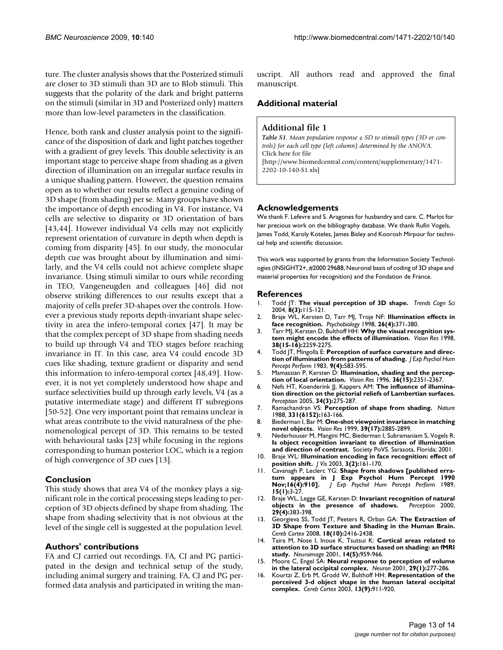ture. The cluster analysis shows that the Posterized stimuli are closer to 3D stimuli than 3D are to Blob stimuli. This suggests that the polarity of the dark and bright patterns on the stimuli (similar in 3D and Posterized only) matters more than low-level parameters in the classification.

Hence, both rank and cluster analysis point to the significance of the disposition of dark and light patches together with a gradient of grey levels. This double selectivity is an important stage to perceive shape from shading as a given direction of illumination on an irregular surface results in a unique shading pattern. However, the question remains open as to whether our results reflect a genuine coding of 3D shape (from shading) per se. Many groups have shown the importance of depth encoding in V4. For instance, V4 cells are selective to disparity or 3D orientation of bars [43,44]. However individual V4 cells may not explicitly represent orientation of curvature in depth when depth is coming from disparity [45]. In our study, the monocular depth cue was brought about by illumination and similarly, and the V4 cells could not achieve complete shape invariance. Using stimuli similar to ours while recording in TEO, Vangeneugden and colleagues [46] did not observe striking differences to our results except that a majority of cells prefer 3D-shapes over the controls. However a previous study reports depth-invariant shape selectivity in area the infero-temporal cortex [47]. It may be that the complex percept of 3D shape from shading needs to build up through V4 and TEO stages before reaching invariance in IT. In this case, area V4 could encode 3D cues like shading, texture gradient or disparity and send this information to infero-temporal cortex [48,49]. However, it is not yet completely understood how shape and surface selectivities build up through early levels, V4 (as a putative intermediate stage) and different IT subregions [50-52]. One very important point that remains unclear is what areas contribute to the vivid naturalness of the phenomenological percept of 3D. This remains to be tested with behavioural tasks [23] while focusing in the regions corresponding to human posterior LOC, which is a region of high convergence of 3D cues [13].

#### **Conclusion**

This study shows that area V4 of the monkey plays a significant role in the cortical processing steps leading to perception of 3D objects defined by shape from shading. The shape from shading selectivity that is not obvious at the level of the single cell is suggested at the population level.

# **Authors' contributions**

FA and CJ carried out recordings. FA, CJ and PG participated in the design and technical setup of the study, including animal surgery and training. FA, CJ and PG performed data analysis and participated in writing the manuscript. All authors read and approved the final manuscript.

#### **Additional material**

#### **Additional file 1**

*Table S1. Mean population response ± SD to stimuli types (3D or controls) for each cell type (left column) determined by the ANOVA.* Click here for file [\[http://www.biomedcentral.com/content/supplementary/1471-](http://www.biomedcentral.com/content/supplementary/1471-2202-10-140-S1.xls) 2202-10-140-S1.xls]

#### **Acknowledgements**

We thank F. Lefevre and S. Aragones for husbandry and care. C. Marlot for her precious work on the bibliography database. We thank Rufin Vogels, James Todd, Karoly Koteles, James Bisley and Koorosh Mirpour for technical help and scientific discussion.

This work was supported by grants from the Information Society Technologies (INSIGHT2+, #2000 29688, Neuronal basis of coding of 3D shape and material properties for recognition) and the Fondation de France.

#### **References**

- 1. Todd JT: **[The visual perception of 3D shape.](http://www.ncbi.nlm.nih.gov/entrez/query.fcgi?cmd=Retrieve&db=PubMed&dopt=Abstract&list_uids=15301751)** *Trends Cogn Sci* 2004, **8(3):**115-121.
- 2. Braje WL, Kersten D, Tarr MJ, Troje NF: **Illumination effects in face recognition.** *Psychobiology* 1998, **26(4):**371-380.
- 3. Tarr MJ, Kersten D, Bulthoff HH: **[Why the visual recognition sys](http://www.ncbi.nlm.nih.gov/entrez/query.fcgi?cmd=Retrieve&db=PubMed&dopt=Abstract&list_uids=9797998)[tem might encode the effects of illumination.](http://www.ncbi.nlm.nih.gov/entrez/query.fcgi?cmd=Retrieve&db=PubMed&dopt=Abstract&list_uids=9797998)** *Vision Res* 1998, **38(15-16):**2259-2275.
- 4. Todd JT, Mingolla E: **[Perception of surface curvature and direc](http://www.ncbi.nlm.nih.gov/entrez/query.fcgi?cmd=Retrieve&db=PubMed&dopt=Abstract&list_uids=6224894)[tion of illumination from patterns of shading.](http://www.ncbi.nlm.nih.gov/entrez/query.fcgi?cmd=Retrieve&db=PubMed&dopt=Abstract&list_uids=6224894)** *J Exp Psychol Hum Percept Perform* 1983, **9(4):**583-595.
- 5. Mamassian P, Kersten D: **[Illumination, shading and the percep](http://www.ncbi.nlm.nih.gov/entrez/query.fcgi?cmd=Retrieve&db=PubMed&dopt=Abstract&list_uids=8776500)[tion of local orientation.](http://www.ncbi.nlm.nih.gov/entrez/query.fcgi?cmd=Retrieve&db=PubMed&dopt=Abstract&list_uids=8776500)** *Vision Res* 1996, **36(15):**2351-2367.
- 6. Nefs HT, Koenderink JJ, Kappers AM: **[The influence of illumina](http://www.ncbi.nlm.nih.gov/entrez/query.fcgi?cmd=Retrieve&db=PubMed&dopt=Abstract&list_uids=15895627)[tion direction on the pictorial reliefs of Lambertian surfaces.](http://www.ncbi.nlm.nih.gov/entrez/query.fcgi?cmd=Retrieve&db=PubMed&dopt=Abstract&list_uids=15895627)** *Perception* 2005, **34(3):**275-287.
- 7. Ramachandran VS: **[Perception of shape from shading.](http://www.ncbi.nlm.nih.gov/entrez/query.fcgi?cmd=Retrieve&db=PubMed&dopt=Abstract&list_uids=3340162)** *Nature* 1988, **331(6152):**163-166.
- 8. Biederman I, Bar M: **[One-shot viewpoint invariance in matching](http://www.ncbi.nlm.nih.gov/entrez/query.fcgi?cmd=Retrieve&db=PubMed&dopt=Abstract&list_uids=10492817) [novel objects.](http://www.ncbi.nlm.nih.gov/entrez/query.fcgi?cmd=Retrieve&db=PubMed&dopt=Abstract&list_uids=10492817)** *Vision Res* 1999, **39(17):**2885-2899.
- 9. Nederhouser M, Mangini MC, Biederman I, Subramaniam S, Vogels R: **Is object recognition invariant to direction of illumination and direction of contrast.** Society PoVS. Sarasota, Florida; 2001.
- 10. Braje WL: **[Illumination encoding in face recognition: effect of](http://www.ncbi.nlm.nih.gov/entrez/query.fcgi?cmd=Retrieve&db=PubMed&dopt=Abstract&list_uids=12678618) [position shift.](http://www.ncbi.nlm.nih.gov/entrez/query.fcgi?cmd=Retrieve&db=PubMed&dopt=Abstract&list_uids=12678618)** *J Vis* 2003, **3(2):**161-170.
- 11. Cavanagh P, Leclerc YG: **[Shape from shadows \[published erra](http://www.ncbi.nlm.nih.gov/entrez/query.fcgi?cmd=Retrieve&db=PubMed&dopt=Abstract&list_uids=2522531)[tum appears in J Exp Psychol Hum Percept 1990](http://www.ncbi.nlm.nih.gov/entrez/query.fcgi?cmd=Retrieve&db=PubMed&dopt=Abstract&list_uids=2522531) [Nov;16\(4\):910\].](http://www.ncbi.nlm.nih.gov/entrez/query.fcgi?cmd=Retrieve&db=PubMed&dopt=Abstract&list_uids=2522531)** *J Exp Psychol Hum Percept Perform* 1989, **15(1):**3-27.
- 12. Braje WL, Legge GE, Kersten D: **[Invariant recognition of natural](http://www.ncbi.nlm.nih.gov/entrez/query.fcgi?cmd=Retrieve&db=PubMed&dopt=Abstract&list_uids=10953759)**  $objects$  in the presence of shadows. **29(4):**383-398.
- 13. Georgieva SS, Todd JT, Peeters R, Orban GA: **[The Extraction of](http://www.ncbi.nlm.nih.gov/entrez/query.fcgi?cmd=Retrieve&db=PubMed&dopt=Abstract&list_uids=18281304) [3D Shape from Texture and Shading in the Human Brain.](http://www.ncbi.nlm.nih.gov/entrez/query.fcgi?cmd=Retrieve&db=PubMed&dopt=Abstract&list_uids=18281304)** *Cereb Cortex* 2008, **18(10):**2416-2438.
- 14. Taira M, Nose I, Inoue K, Tsutsui K: **[Cortical areas related to](http://www.ncbi.nlm.nih.gov/entrez/query.fcgi?cmd=Retrieve&db=PubMed&dopt=Abstract&list_uids=11697928) [attention to 3D surface structures based on shading: an fMRI](http://www.ncbi.nlm.nih.gov/entrez/query.fcgi?cmd=Retrieve&db=PubMed&dopt=Abstract&list_uids=11697928) [study.](http://www.ncbi.nlm.nih.gov/entrez/query.fcgi?cmd=Retrieve&db=PubMed&dopt=Abstract&list_uids=11697928)** *Neuroimage* 2001, **14(5):**959-966.
- 15. Moore C, Engel SA: **[Neural response to perception of volume](http://www.ncbi.nlm.nih.gov/entrez/query.fcgi?cmd=Retrieve&db=PubMed&dopt=Abstract&list_uids=11182098) [in the lateral occipital complex.](http://www.ncbi.nlm.nih.gov/entrez/query.fcgi?cmd=Retrieve&db=PubMed&dopt=Abstract&list_uids=11182098)** *Neuron* 2001, **29(1):**277-286.
- 16. Kourtzi Z, Erb M, Grodd W, Bulthoff HH: **[Representation of the](http://www.ncbi.nlm.nih.gov/entrez/query.fcgi?cmd=Retrieve&db=PubMed&dopt=Abstract&list_uids=12902390) [perceived 3-d object shape in the human lateral occipital](http://www.ncbi.nlm.nih.gov/entrez/query.fcgi?cmd=Retrieve&db=PubMed&dopt=Abstract&list_uids=12902390) [complex.](http://www.ncbi.nlm.nih.gov/entrez/query.fcgi?cmd=Retrieve&db=PubMed&dopt=Abstract&list_uids=12902390)** *Cereb Cortex* 2003, **13(9):**911-920.